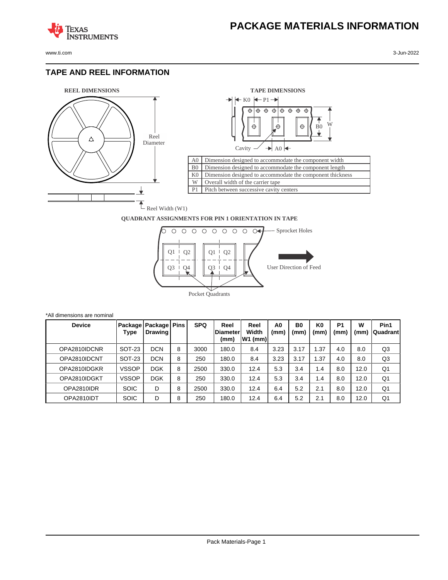

**TEXAS** 

## **TAPE AND REEL INFORMATION**

**ISTRUMENTS** 





## **QUADRANT ASSIGNMENTS FOR PIN 1 ORIENTATION IN TAPE**



| *All dimensions are nominal |              |                                     |   |            |                                  |                            |                        |                        |                        |                        |           |                  |
|-----------------------------|--------------|-------------------------------------|---|------------|----------------------------------|----------------------------|------------------------|------------------------|------------------------|------------------------|-----------|------------------|
| <b>Device</b>               | Type         | Package   Package   Pins<br>Drawing |   | <b>SPQ</b> | Reel<br><b>IDiameter</b><br>(mm) | Reel<br>Width<br>$W1$ (mm) | A <sub>0</sub><br>(mm) | B <sub>0</sub><br>(mm) | K <sub>0</sub><br>(mm) | P <sub>1</sub><br>(mm) | w<br>(mm) | Pin1<br>Quadrant |
| OPA2810IDCNR                | SOT-23       | <b>DCN</b>                          | 8 | 3000       | 180.0                            | 8.4                        | 3.23                   | 3.17                   | l.37                   | 4.0                    | 8.0       | Q3               |
| OPA2810IDCNT                | SOT-23       | <b>DCN</b>                          | 8 | 250        | 180.0                            | 8.4                        | 3.23                   | 3.17                   | 1.37                   | 4.0                    | 8.0       | Q <sub>3</sub>   |
| OPA2810IDGKR                | <b>VSSOP</b> | <b>DGK</b>                          | 8 | 2500       | 330.0                            | 12.4                       | 5.3                    | 3.4                    | 1.4                    | 8.0                    | 12.0      | Q <sub>1</sub>   |
| OPA2810IDGKT                | VSSOP        | <b>DGK</b>                          | 8 | 250        | 330.0                            | 12.4                       | 5.3                    | 3.4                    | 1.4                    | 8.0                    | 12.0      | Q1               |
| OPA2810IDR                  | <b>SOIC</b>  | D                                   | 8 | 2500       | 330.0                            | 12.4                       | 6.4                    | 5.2                    | 2.1                    | 8.0                    | 12.0      | Q1               |
| OPA2810IDT                  | <b>SOIC</b>  | D                                   | 8 | 250        | 180.0                            | 12.4                       | 6.4                    | 5.2                    | 2.1                    | 8.0                    | 12.0      | Q1               |